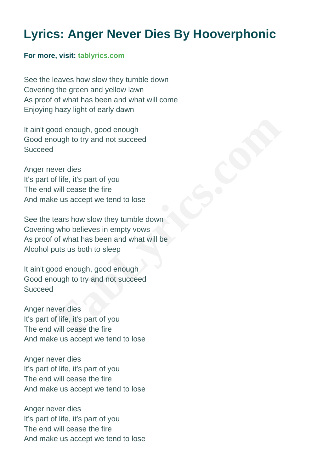## **Lyrics: Anger Never Dies By Hooverphonic**

## **For more, visit: [tablyrics.com](https://www.tablyrics.com/anger-never-dies-chords-lyrics-hooverphonic)**

See the leaves how slow they tumble down Covering the green and yellow lawn As proof of what has been and what will come Enjoying hazy light of early dawn

It ain't good enough, good enough Good enough to try and not succeed **Succeed** 

Anger never dies It's part of life, it's part of you The end will cease the fire And make us accept we tend to lose

See the tears how slow they tumble down Covering who believes in empty vows As proof of what has been and what will be Alcohol puts us both to sleep bod enough, good enough<br>
aver dies<br>
aver dies<br>
ver dies<br>
will cease the fire<br>
will cease the fire<br>
will cease the fire<br>
tears how slow they tumble down<br>
gy who believes in empty vows<br>
of what has been and what will be<br>
put

It ain't good enough, good enough Good enough to try and not succeed **Succeed** 

Anger never dies It's part of life, it's part of you The end will cease the fire And make us accept we tend to lose

Anger never dies It's part of life, it's part of you The end will cease the fire And make us accept we tend to lose

Anger never dies It's part of life, it's part of you The end will cease the fire And make us accept we tend to lose